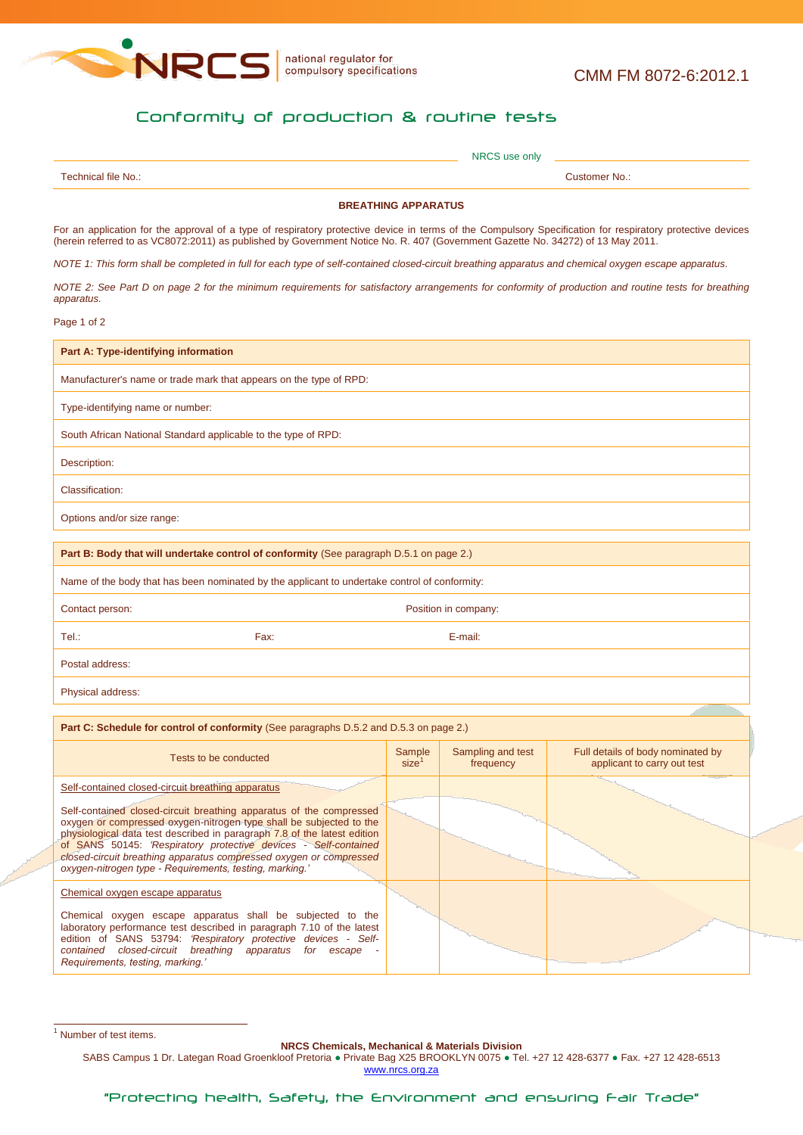

national regulator for compulsory specifications

## Conformity of production & routine tests

| <b>NRCS</b> use only |  |
|----------------------|--|
|----------------------|--|

Technical file No.: Customer No.:

## **BREATHING APPARATUS**

For an application for the approval of a type of respiratory protective device in terms of the Compulsory Specification for respiratory protective devices (herein referred to as VC8072:2011) as published by Government Notice No. R. 407 (Government Gazette No. 34272) of 13 May 2011.

*NOTE 1: This form shall be completed in full for each type of self-contained closed-circuit breathing apparatus and chemical oxygen escape apparatus.*

*NOTE 2: See Part D on page 2 for the minimum requirements for satisfactory arrangements for conformity of production and routine tests for breathing apparatus.*

Page 1 of 2

| Part A: Type-identifying information                               |
|--------------------------------------------------------------------|
| Manufacturer's name or trade mark that appears on the type of RPD: |
| Type-identifying name or number:                                   |
| South African National Standard applicable to the type of RPD:     |
| Description:                                                       |
| Classification:                                                    |
| Options and/or size range:                                         |

**Part B: Body that will undertake control of conformity** (See paragraph D.5.1 on page 2.)

Name of the body that has been nominated by the applicant to undertake control of conformity:

Contact person: Position in company: Position in company:

Tel.: Fax: E-mail:

Postal address:

Physical address:

| <b>Part C: Schedule for control of conformity (See paragraphs D.5.2 and D.5.3 on page 2.)</b> |
|-----------------------------------------------------------------------------------------------|
|                                                                                               |

|  | Tests to be conducted                                                                                                                                                                                                                                                                                                                                                                                                      | Sample<br>size <sup>1</sup> | Sampling and test<br>frequency | Full details of body nominated by<br>applicant to carry out test |
|--|----------------------------------------------------------------------------------------------------------------------------------------------------------------------------------------------------------------------------------------------------------------------------------------------------------------------------------------------------------------------------------------------------------------------------|-----------------------------|--------------------------------|------------------------------------------------------------------|
|  | Self-contained closed-circuit breathing apparatus                                                                                                                                                                                                                                                                                                                                                                          |                             |                                |                                                                  |
|  | Self-contained closed-circuit breathing apparatus of the compressed<br>oxygen or compressed oxygen-nitrogen type shall be subjected to the<br>physiological data test described in paragraph 7.8 of the latest edition<br>of SANS 50145: 'Respiratory protective devices - Self-contained<br>closed-circuit breathing apparatus compressed oxygen or compressed<br>oxygen-nitrogen type - Requirements, testing, marking.' |                             |                                |                                                                  |
|  | Chemical oxygen escape apparatus<br>Chemical oxygen escape apparatus shall be subjected to the<br>laboratory performance test described in paragraph 7.10 of the latest<br>edition of SANS 53794: 'Respiratory protective devices - Self-<br>contained closed-circuit breathing apparatus for escape<br>Requirements, testing, marking.'                                                                                   |                             |                                |                                                                  |

 $\frac{1}{1}$  Number of test items.

**NRCS Chemicals, Mechanical & Materials Division**

SABS Campus 1 Dr. Lategan Road Groenkloof Pretoria ● Private Bag X25 BROOKLYN 0075 ● Tel. +27 12 428-6377 ● Fax. +27 12 428-6513 www.nrcs.org.za